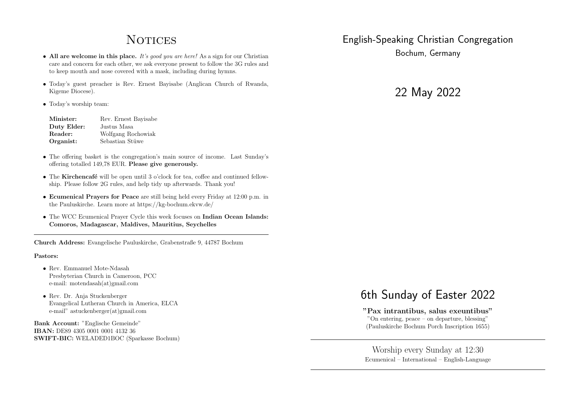# **NOTICES**

- All are welcome in this place. *It's good you are here!* As a sign for our Christian care and concern for each other, we ask everyone present to follow the 3G rules and to keep mouth and nose covered with a mask, including during hymns.
- *•* Today's guest preacher is Rev. Ernest Bayisabe (Anglican Church of Rwanda, Kigeme Diocese).
- *•* Today's worship team:

| Minister:   | Rev. Ernest Bayisabe |
|-------------|----------------------|
| Duty Elder: | Justus Masa          |
| Reader:     | Wolfgang Rochowiak   |
| Organist:   | Sebastian Stüwe      |

- The offering basket is the congregation's main source of income. Last Sunday's offering totalled 149,78 EUR. Please give generously.
- The Kirchencafé will be open until 3 o'clock for tea, coffee and continued fellowship. Please follow 2G rules, and help tidy up afterwards. Thank you!
- *•* Ecumenical Prayers for Peace are still being held every Friday at 12:00 p.m. in the Pauluskirche. Learn more at https://kg-bochum.ekvw.de/
- The WCC Ecumenical Prayer Cycle this week focuses on Indian Ocean Islands: Comoros, Madagascar, Maldives, Mauritius, Seychelles

Church Address: Evangelische Pauluskirche, Grabenstraße 9, 44787 Bochum

#### Pastors:

- *•* Rev. Emmanuel Mote-Ndasah Presbyterian Church in Cameroon, PCC e-mail: motendasah(at)gmail.com
- *•* Rev. Dr. Anja Stuckenberger Evangelical Lutheran Church in America, ELCA e-mail" astuckenberger(at)gmail.com

Bank Account: "Englische Gemeinde" IBAN: DE89 4305 0001 0001 4132 36 SWIFT-BIC: WELADED1BOC (Sparkasse Bochum)

# English-Speaking Christian Congregation

Bochum, Germany

22 May 2022

# 6th Sunday of Easter 2022

"Pax intrantibus, salus exeuntibus" "On entering, peace – on departure, blessing" (Pauluskirche Bochum Porch Inscription 1655)

Worship every Sunday at 12:30 Ecumenical – International – English-Language